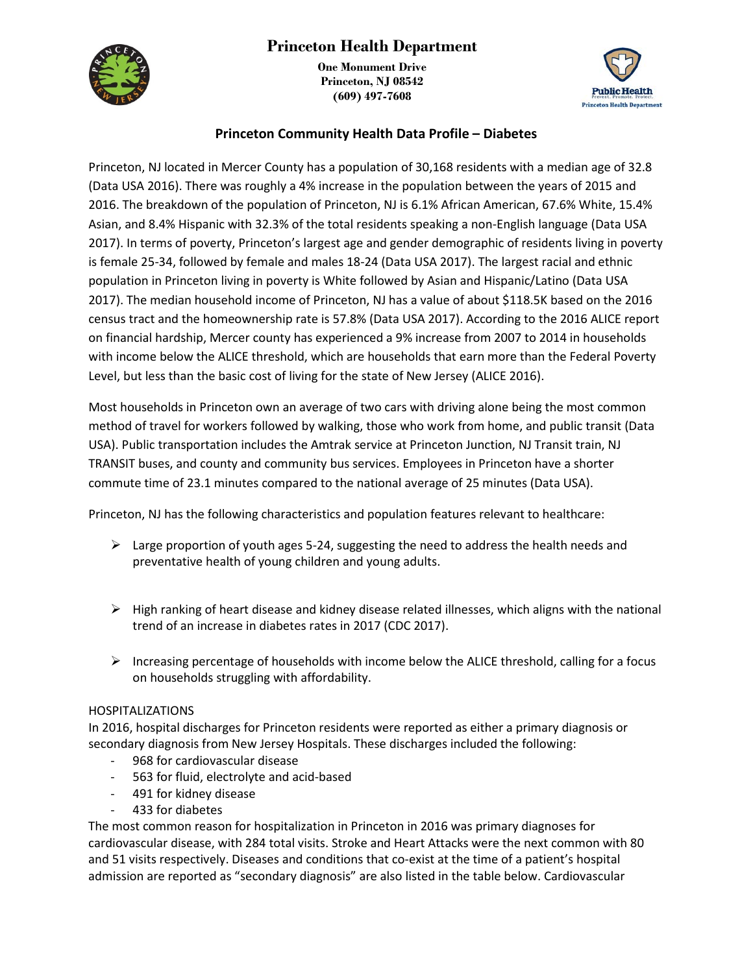

**One Monument Drive Princeton, NJ 08542 (609) 497-7608**



## **Princeton Community Health Data Profile – Diabetes**

Princeton, NJ located in Mercer County has a population of 30,168 residents with a median age of 32.8 (Data USA 2016). There was roughly a 4% increase in the population between the years of 2015 and 2016. The breakdown of the population of Princeton, NJ is 6.1% African American, 67.6% White, 15.4% Asian, and 8.4% Hispanic with 32.3% of the total residents speaking a non-English language (Data USA 2017). In terms of poverty, Princeton's largest age and gender demographic of residents living in poverty is female 25-34, followed by female and males 18-24 (Data USA 2017). The largest racial and ethnic population in Princeton living in poverty is White followed by Asian and Hispanic/Latino (Data USA 2017). The median household income of Princeton, NJ has a value of about \$118.5K based on the 2016 census tract and the homeownership rate is 57.8% (Data USA 2017). According to the 2016 ALICE report on financial hardship, Mercer county has experienced a 9% increase from 2007 to 2014 in households with income below the ALICE threshold, which are households that earn more than the Federal Poverty Level, but less than the basic cost of living for the state of New Jersey (ALICE 2016).

Most households in Princeton own an average of two cars with driving alone being the most common method of travel for workers followed by walking, those who work from home, and public transit (Data USA). Public transportation includes the Amtrak service at Princeton Junction, NJ Transit train, NJ TRANSIT buses, and county and community bus services. Employees in Princeton have a shorter commute time of 23.1 minutes compared to the national average of 25 minutes (Data USA).

Princeton, NJ has the following characteristics and population features relevant to healthcare:

- $\triangleright$  Large proportion of youth ages 5-24, suggesting the need to address the health needs and preventative health of young children and young adults.
- $\triangleright$  High ranking of heart disease and kidney disease related illnesses, which aligns with the national trend of an increase in diabetes rates in 2017 (CDC 2017).
- $\triangleright$  Increasing percentage of households with income below the ALICE threshold, calling for a focus on households struggling with affordability.

### HOSPITALIZATIONS

In 2016, hospital discharges for Princeton residents were reported as either a primary diagnosis or secondary diagnosis from New Jersey Hospitals. These discharges included the following:

- 968 for cardiovascular disease
- 563 for fluid, electrolyte and acid-based
- 491 for kidney disease
- 433 for diabetes

The most common reason for hospitalization in Princeton in 2016 was primary diagnoses for cardiovascular disease, with 284 total visits. Stroke and Heart Attacks were the next common with 80 and 51 visits respectively. Diseases and conditions that co-exist at the time of a patient's hospital admission are reported as "secondary diagnosis" are also listed in the table below. Cardiovascular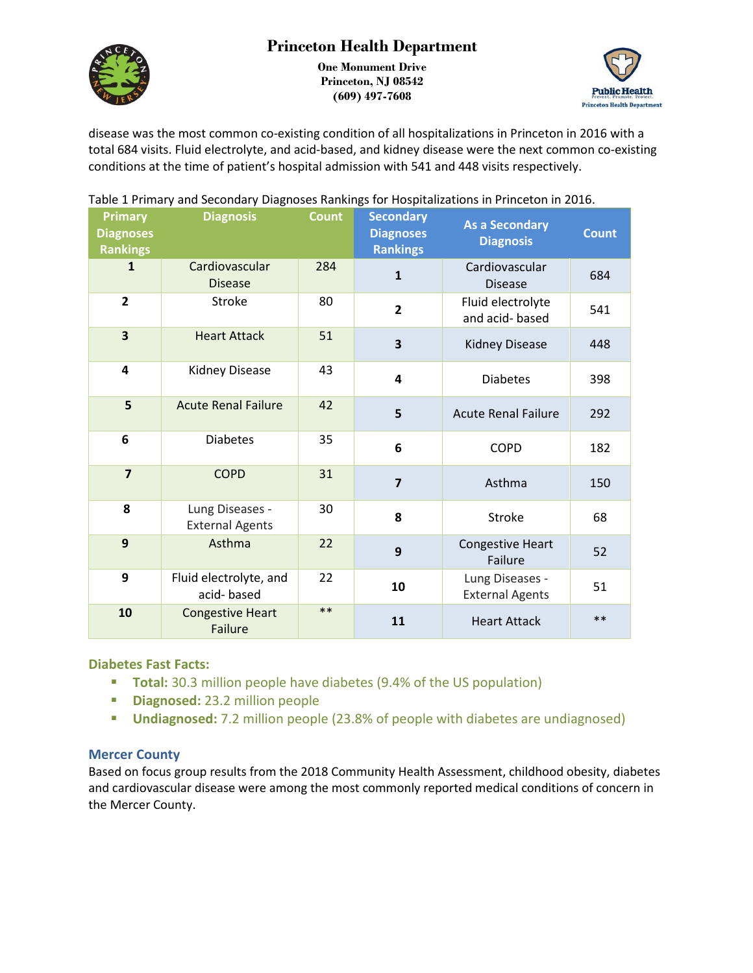

**One Monument Drive Princeton, NJ 08542 (609) 497-7608**



disease was the most common co-existing condition of all hospitalizations in Princeton in 2016 with a total 684 visits. Fluid electrolyte, and acid-based, and kidney disease were the next common co-existing conditions at the time of patient's hospital admission with 541 and 448 visits respectively.

| <b>Primary</b><br><b>Diagnoses</b><br><b>Rankings</b> | <b>Diagnosis</b>                          | <b>Count</b> | <b>Secondary</b><br><b>Diagnoses</b><br><b>Rankings</b> | <b>As a Secondary</b><br><b>Diagnosis</b> | <b>Count</b> |
|-------------------------------------------------------|-------------------------------------------|--------------|---------------------------------------------------------|-------------------------------------------|--------------|
| $\mathbf{1}$                                          | Cardiovascular<br><b>Disease</b>          | 284          | $\mathbf{1}$                                            | Cardiovascular<br><b>Disease</b>          | 684          |
| $\overline{2}$                                        | <b>Stroke</b>                             | 80           | $\overline{2}$                                          | Fluid electrolyte<br>and acid-based       | 541          |
| 3                                                     | <b>Heart Attack</b>                       | 51           | $\overline{\mathbf{3}}$                                 | <b>Kidney Disease</b>                     | 448          |
| 4                                                     | Kidney Disease                            | 43           | $\overline{\mathbf{4}}$                                 | <b>Diabetes</b>                           | 398          |
| 5                                                     | <b>Acute Renal Failure</b>                | 42           | 5                                                       | <b>Acute Renal Failure</b>                | 292          |
| 6                                                     | <b>Diabetes</b>                           | 35           | 6                                                       | <b>COPD</b>                               | 182          |
| $\overline{7}$                                        | <b>COPD</b>                               | 31           | $\overline{7}$                                          | Asthma                                    | 150          |
| 8                                                     | Lung Diseases -<br><b>External Agents</b> | 30           | 8                                                       | Stroke                                    | 68           |
| 9                                                     | Asthma                                    | 22           | 9                                                       | Congestive Heart<br>Failure               | 52           |
| 9                                                     | Fluid electrolyte, and<br>acid-based      | 22           | 10                                                      | Lung Diseases -<br><b>External Agents</b> | 51           |
| 10                                                    | <b>Congestive Heart</b><br>Failure        | $***$        | 11                                                      | <b>Heart Attack</b>                       | $**$         |

Table 1 Primary and Secondary Diagnoses Rankings for Hospitalizations in Princeton in 2016.

### **Diabetes Fast Facts:**

- **Total:** 30.3 million people have diabetes (9.4% of the US population)
- **Diagnosed:** 23.2 million people
- **Undiagnosed:** 7.2 million people (23.8% of people with diabetes are undiagnosed)

### **Mercer County**

Based on focus group results from the 2018 Community Health Assessment, childhood obesity, diabetes and cardiovascular disease were among the most commonly reported medical conditions of concern in the Mercer County.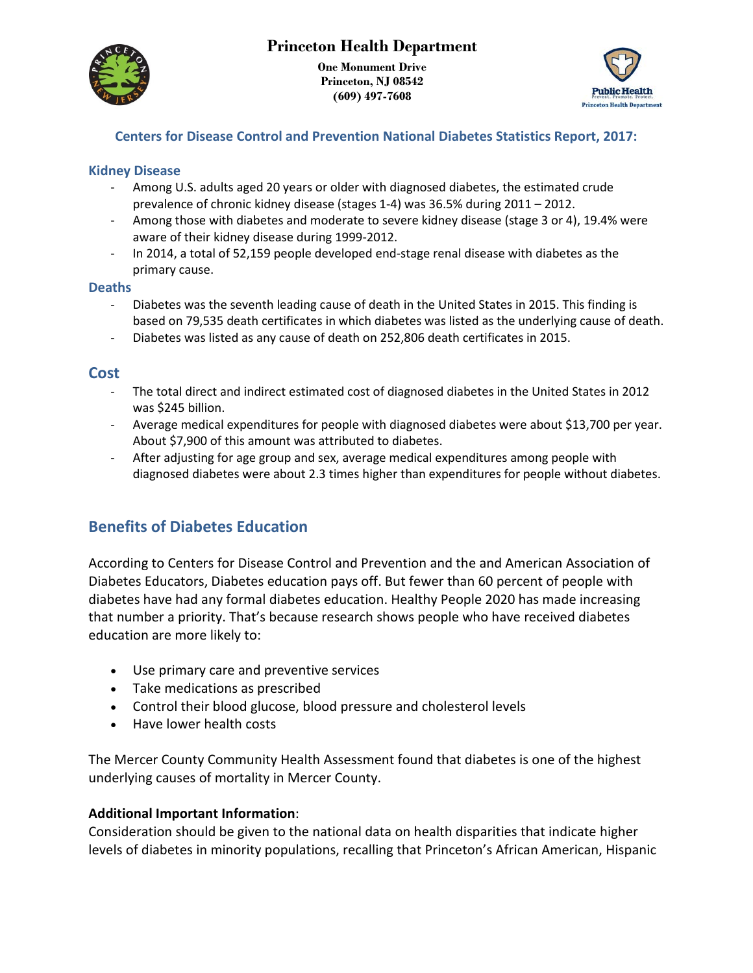

**One Monument Drive Princeton, NJ 08542 (609) 497-7608**



## **Centers for Disease Control and Prevention National Diabetes Statistics Report, 2017:**

### **Kidney Disease**

- Among U.S. adults aged 20 years or older with diagnosed diabetes, the estimated crude prevalence of chronic kidney disease (stages 1-4) was 36.5% during 2011 – 2012.
- Among those with diabetes and moderate to severe kidney disease (stage 3 or 4), 19.4% were aware of their kidney disease during 1999-2012.
- In 2014, a total of 52,159 people developed end-stage renal disease with diabetes as the primary cause.

### **Deaths**

- Diabetes was the seventh leading cause of death in the United States in 2015. This finding is based on 79,535 death certificates in which diabetes was listed as the underlying cause of death.
- Diabetes was listed as any cause of death on 252,806 death certificates in 2015.

## **Cost**

- The total direct and indirect estimated cost of diagnosed diabetes in the United States in 2012 was \$245 billion.
- Average medical expenditures for people with diagnosed diabetes were about \$13,700 per year. About \$7,900 of this amount was attributed to diabetes.
- After adjusting for age group and sex, average medical expenditures among people with diagnosed diabetes were about 2.3 times higher than expenditures for people without diabetes.

# **Benefits of Diabetes Education**

According to Centers for Disease Control and Prevention and the and American Association of Diabetes Educators, Diabetes education pays off. But fewer than 60 percent of people with diabetes have had any formal diabetes education. Healthy People 2020 has made increasing that number a priority. That's because research shows people who have received diabetes education are more likely to:

- Use primary care and preventive services
- Take medications as prescribed
- Control their blood glucose, blood pressure and cholesterol levels
- Have lower health costs

The Mercer County Community Health Assessment found that diabetes is one of the highest underlying causes of mortality in Mercer County.

### **Additional Important Information**:

Consideration should be given to the national data on health disparities that indicate higher levels of diabetes in minority populations, recalling that Princeton's African American, Hispanic